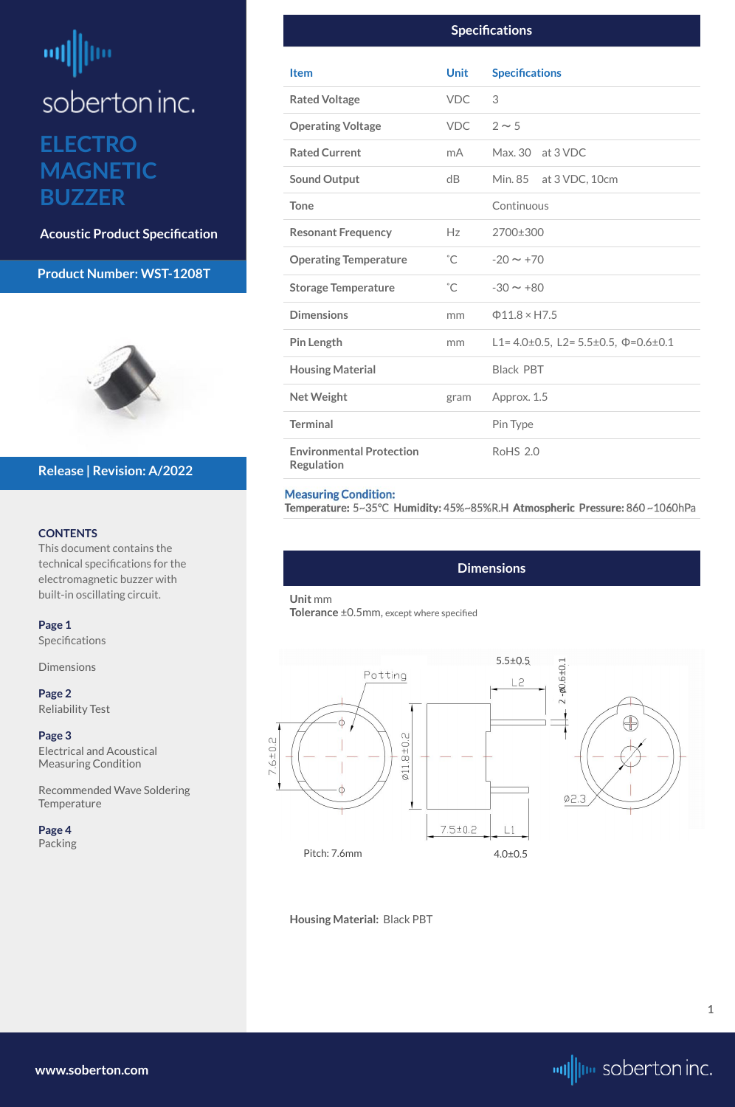## <span id="page-0-0"></span>뻬 ļm soberton inc. **ELECTRO MAGNETIC BUZZER**

**Acoustic Product Specification**

#### **Product Number: WST-1208T**



#### **CONTENTS**

This document contains the technical specifications for the electromagnetic buzzer with built-in oscillating circuit.

[Recommended Wave Soldering](#page-2-0)  **[Temperature](#page-2-0)** 

**Page 1** Specifications

**Dimensions** 

**[Page 2](#page-1-0)** [Reliability Test](#page-1-0)

**[Page 3](#page-2-0)** [Electrical and Acoustical](#page-2-0)  [Measuring Condition](#page-2-0)

|  | Page 4 |  |
|--|--------|--|
|  |        |  |

#### [Packing](#page-3-0)

 $\begin{array}{c|c|c|c|c} \hline \multicolumn{1}{c|}{\textbf{--}} & \multicolumn{1}{c|}{\textbf{--}} \\ \hline \multicolumn{1}{c|}{\textbf{--}} & \multicolumn{1}{c|}{\textbf{--}} \\ \hline \multicolumn{1}{c|}{\textbf{--}} & \multicolumn{1}{c|}{\textbf{--}} \\ \hline \multicolumn{1}{c|}{\textbf{--}} & \multicolumn{1}{c|}{\textbf{--}} \\ \hline \multicolumn{1}{c|}{\textbf{--}} & \multicolumn{1}{c|}{\textbf{--}} \\ \hline \multicolumn{1}{c|}{\textbf{--}} &$ 

#### **Release | Revision: A/2022**

**[www.soberton.com](http://www.soberton.com)**



**1**

#### **Dimensions**

#### **Unit** mm

**Tolerance** ±0.5mm, except where specified

Pitch: 7.6mm

#### **Housing Material:** Black PBT

| <b>Specifications</b>                                |              |                                                          |  |  |  |
|------------------------------------------------------|--------------|----------------------------------------------------------|--|--|--|
| <b>Item</b>                                          | <b>Unit</b>  | <b>Specifications</b>                                    |  |  |  |
| <b>Rated Voltage</b>                                 | <b>VDC</b>   | 3                                                        |  |  |  |
| <b>Operating Voltage</b>                             | VDC          | $2 \sim 5$                                               |  |  |  |
| <b>Rated Current</b>                                 | mA           | Max. 30 at 3 VDC                                         |  |  |  |
| <b>Sound Output</b>                                  | dB           | Min. 85 at 3 VDC, 10cm                                   |  |  |  |
| <b>Tone</b>                                          |              | Continuous                                               |  |  |  |
| <b>Resonant Frequency</b>                            | Hz           | 2700±300                                                 |  |  |  |
| <b>Operating Temperature</b>                         | $^{\circ}$ C | $-20 \sim +70$                                           |  |  |  |
| <b>Storage Temperature</b>                           | $^{\circ}$ C | $-30 \sim +80$                                           |  |  |  |
| <b>Dimensions</b>                                    | mm           | $\Phi$ 11.8 × H7.5                                       |  |  |  |
| <b>Pin Length</b>                                    | mm           | L1= $4.0\pm0.5$ , L2= $5.5\pm0.5$ , $\Phi$ = $0.6\pm0.1$ |  |  |  |
| <b>Housing Material</b>                              |              | <b>Black PBT</b>                                         |  |  |  |
| <b>Net Weight</b>                                    | gram         | Approx. 1.5                                              |  |  |  |
| <b>Terminal</b>                                      |              | Pin Type                                                 |  |  |  |
| <b>Environmental Protection</b><br><b>Regulation</b> |              | <b>RoHS 2.0</b>                                          |  |  |  |

#### **Measuring Condition:**

Temperature: 5~35°C Humidity: 45%~85%R.H Atmospheric Pressure: 860~1060hPa

4.0±0.5

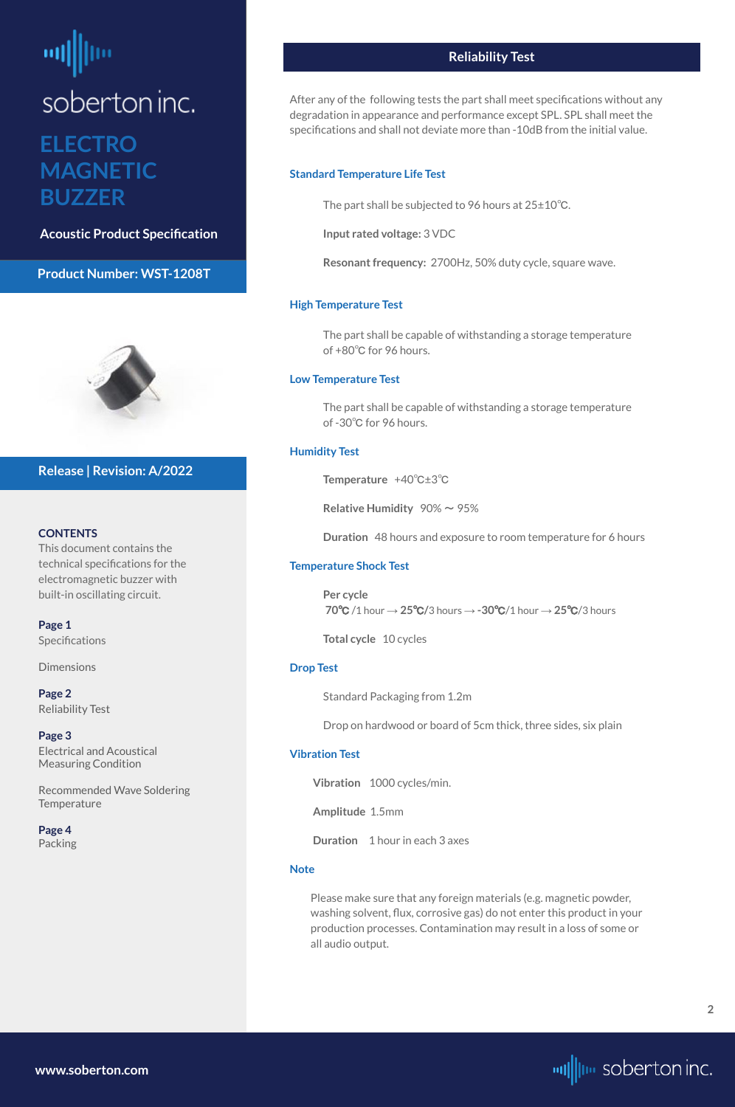# <span id="page-1-0"></span>soberton inc. **ELECTRO MAGNETIC BUZZER**

**Acoustic Product Specification**

#### **Product Number: WST-1208T**



#### **CONTENTS**

**[Page 1](#page-0-0) Specifications** 

This document contains the technical specifications for the electromagnetic buzzer with built-in oscillating circuit.

[Recommended Wave Soldering](#page-2-0)  **[Temperature](#page-2-0)** 

[Dimensions](#page-0-0)

**Page 2** Reliability Test

**[Page 3](#page-2-0)** [Electrical and Acoustical](#page-2-0)  [Measuring Condition](#page-2-0)

**[Page 4](#page-3-0)**

#### [Packing](#page-3-0)

#### **Release | Revision: A/2022**



#### **Reliability Test**

After any of the following tests the part shall meet specifications without any degradation in appearance and performance except SPL. SPL shall meet the specifications and shall not deviate more than -10dB from the initial value.

#### **Standard Temperature Life Test**

The part shall be subjected to 96 hours at 25±10℃.

**Input rated voltage:** 3 VDC

**Resonant frequency:** 2700Hz, 50% duty cycle, square wave.

#### **High Temperature Test**

The part shall be capable of withstanding a storage temperature of +80℃ for 96 hours.

#### **Low Temperature Test**

The part shall be capable of withstanding a storage temperature of -30℃ for 96 hours.

#### **Humidity Test**

**Temperature** +40℃±3℃

**Relative Humidity**  $90\% \sim 95\%$ 

**Duration** 48 hours and exposure to room temperature for 6 hours

#### **Temperature Shock Test**

**Per cycle 70**℃ /1 hour → **25**℃**/**3 hours → **-30**℃/1 hour → **25**℃/3 hours

**Total cycle** 10 cycles

#### **Drop Test**

Standard Packaging from 1.2m

Drop on hardwood or board of 5cm thick, three sides, six plain

#### **Vibration Test**

**Vibration** 1000 cycles/min.

**Amplitude** 1.5mm

**Duration** 1 hour in each 3 axes

#### **Note**

Please make sure that any foreign materials (e.g. magnetic powder, washing solvent, flux, corrosive gas) do not enter this product in your production processes. Contamination may result in a loss of some or all audio output.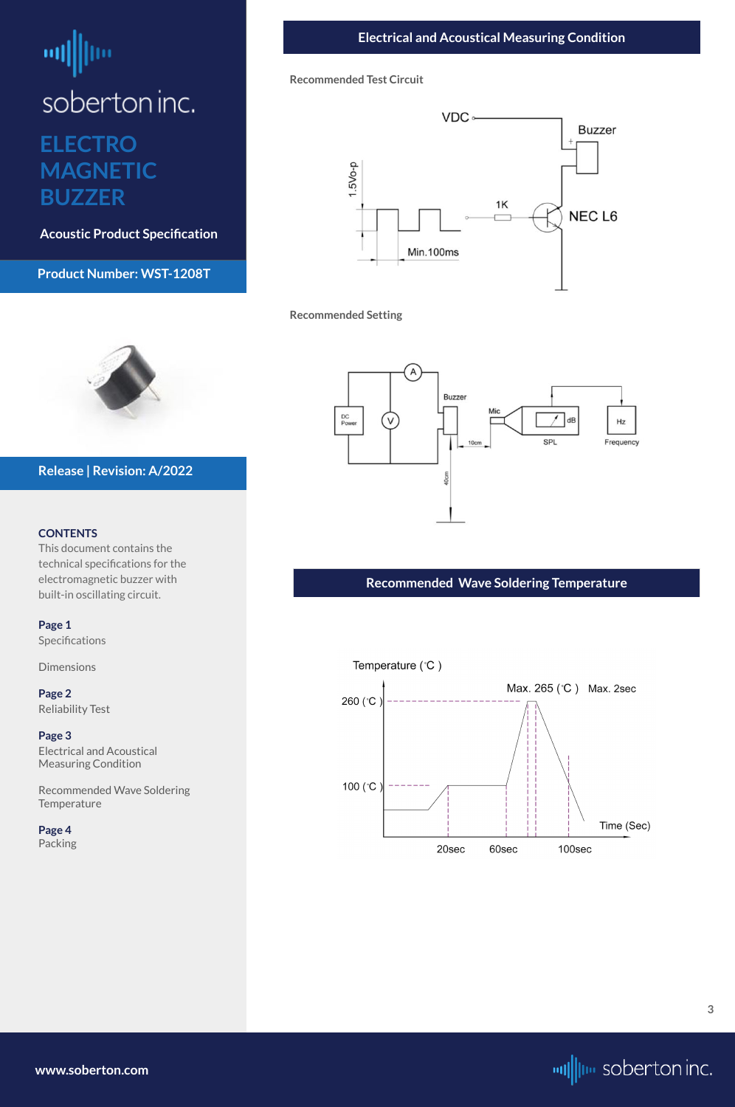# <span id="page-2-0"></span>ᆒ soberton inc. **ELECTRO MAGNETIC BUZZER**

**Acoustic Product Specification**

**Product Number: WST-1208T**

#### **CONTENTS**

This document contains the technical specifications for the electromagnetic buzzer with built-in oscillating circuit.

**[Page 1](#page-0-0)** [Specifications](#page-0-0) 

**[Dimensions](#page-0-0)** 

**[Page 2](#page-1-0)** [Reliability Test](#page-1-0)

**Page 3** Electrical and Acoustical Measuring Condition

Recommended Wave Soldering Temperature

**[Page 4](#page-3-0)**



#### **Release | Revision: A/2022**

| Packing          | 20sec | 60sec | 100sec                |
|------------------|-------|-------|-----------------------|
|                  |       |       |                       |
|                  |       |       |                       |
|                  |       |       |                       |
|                  |       |       |                       |
|                  |       |       |                       |
|                  |       |       | $\mathbf{3}$          |
|                  |       |       |                       |
| www.soberton.com |       |       | will we soberton inc. |



#### **Recommended Test Circuit**



**Recommended Setting**



#### **Recommended Wave Soldering Temperature**